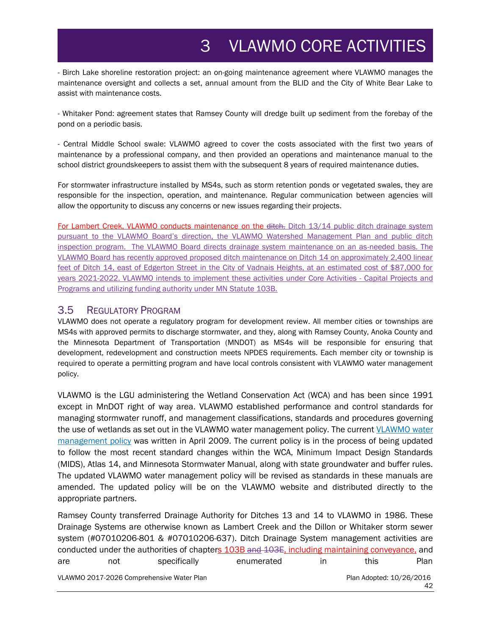## 3 VLAWMO CORE ACTIVITIES

- Birch Lake shoreline restoration project: an on-going maintenance agreement where VLAWMO manages the maintenance oversight and collects a set, annual amount from the BLID and the City of White Bear Lake to assist with maintenance costs.

- Whitaker Pond: agreement states that Ramsey County will dredge built up sediment from the forebay of the pond on a periodic basis.

- Central Middle School swale: VLAWMO agreed to cover the costs associated with the first two years of maintenance by a professional company, and then provided an operations and maintenance manual to the school district groundskeepers to assist them with the subsequent 8 years of required maintenance duties.

For stormwater infrastructure installed by MS4s, such as storm retention ponds or vegetated swales, they are responsible for the inspection, operation, and maintenance. Regular communication between agencies will allow the opportunity to discuss any concerns or new issues regarding their projects.

For Lambert Creek, VLAWMO conducts maintenance on the ditch. Ditch 13/14 public ditch drainage system pursuant to the VLAWMO Board's direction, the VLAWMO Watershed Management Plan and public ditch inspection program. The VLAWMO Board directs drainage system maintenance on an as-needed basis. The VLAWMO Board has recently approved proposed ditch maintenance on Ditch 14 on approximately 2,400 linear feet of Ditch 14, east of Edgerton Street in the City of Vadnais Heights, at an estimated cost of \$87,000 for years 2021-2022. VLAWMO intends to implement these activities under Core Activities - Capital Projects and Programs and utilizing funding authority under MN Statute 103B.

## 3.5 REGULATORY PROGRAM

VLAWMO does not operate a regulatory program for development review. All member cities or townships are MS4s with approved permits to discharge stormwater, and they, along with Ramsey County, Anoka County and the Minnesota Department of Transportation (MNDOT) as MS4s will be responsible for ensuring that development, redevelopment and construction meets NPDES requirements. Each member city or township is required to operate a permitting program and have local controls consistent with VLAWMO water management policy.

VLAWMO is the LGU administering the Wetland Conservation Act (WCA) and has been since 1991 except in MnDOT right of way area. VLAWMO established performance and control standards for managing stormwater runoff, and management classifications, standards and procedures governing the use of wetlands as set out in the VLAWMO water management policy. The current [VLAWMO water](http://www.vlawmo.org/files/8314/0097/9629/VLAWMO_Water_Policy_041509_1.pdf)  [management policy](http://www.vlawmo.org/files/8314/0097/9629/VLAWMO_Water_Policy_041509_1.pdf) was written in April 2009. The current policy is in the process of being updated to follow the most recent standard changes within the WCA, Minimum Impact Design Standards (MIDS), Atlas 14, and Minnesota Stormwater Manual, along with state groundwater and buffer rules. The updated VLAWMO water management policy will be revised as standards in these manuals are amended. The updated policy will be on the VLAWMO website and distributed directly to the appropriate partners.

VLAWMO 2017-2026 Comprehensive Water Plan Plan Adopted: 10/26/2016 42 Ramsey County transferred Drainage Authority for Ditches 13 and 14 to VLAWMO in 1986. These Drainage Systems are otherwise known as Lambert Creek and the Dillon or Whitaker storm sewer system (#07010206-801 & #07010206-637). Ditch Drainage System management activities are conducted under the authorities of chapters 103B and 103E, including maintaining conveyance, and are not specifically enumerated in this Plan